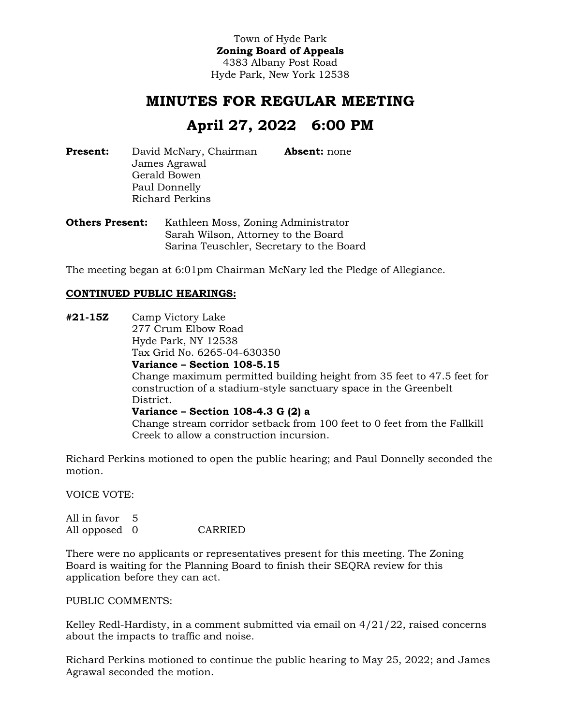Town of Hyde Park **Zoning Board of Appeals** 4383 Albany Post Road Hyde Park, New York 12538

# **MINUTES FOR REGULAR MEETING**

# **April 27, 2022 6:00 PM**

**Present:** David McNary, Chairman James Agrawal Gerald Bowen Paul Donnelly Richard Perkins **Absent:** none

**Others Present:** Kathleen Moss, Zoning Administrator Sarah Wilson, Attorney to the Board Sarina Teuschler, Secretary to the Board

The meeting began at 6:01pm Chairman McNary led the Pledge of Allegiance.

# **CONTINUED PUBLIC HEARINGS:**

**#21-15Z** Camp Victory Lake 277 Crum Elbow Road Hyde Park, NY 12538 Tax Grid No. 6265-04-630350 **Variance – Section 108-5.15** Change maximum permitted building height from 35 feet to 47.5 feet for construction of a stadium-style sanctuary space in the Greenbelt District. **Variance – Section 108-4.3 G (2) a** Change stream corridor setback from 100 feet to 0 feet from the Fallkill Creek to allow a construction incursion.

Richard Perkins motioned to open the public hearing; and Paul Donnelly seconded the motion.

VOICE VOTE:

All in favor 5 All opposed 0 CARRIED

There were no applicants or representatives present for this meeting. The Zoning Board is waiting for the Planning Board to finish their SEQRA review for this application before they can act.

PUBLIC COMMENTS:

Kelley Redl-Hardisty, in a comment submitted via email on  $4/21/22$ , raised concerns about the impacts to traffic and noise.

Richard Perkins motioned to continue the public hearing to May 25, 2022; and James Agrawal seconded the motion.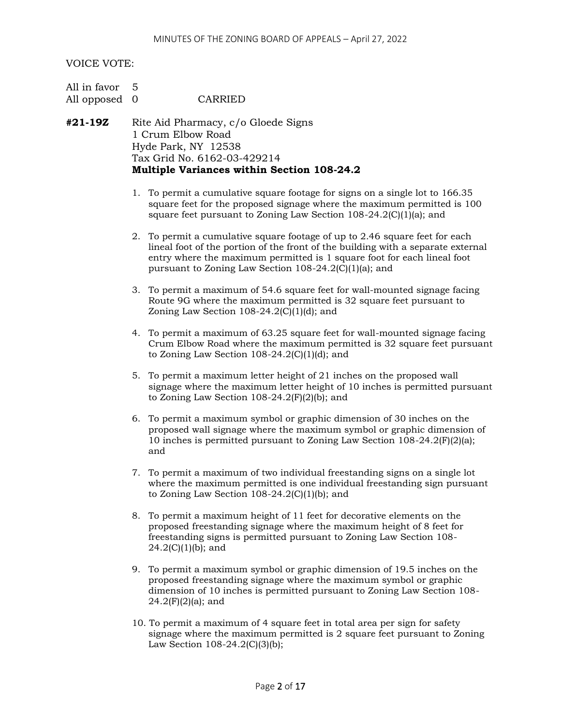# VOICE VOTE:

| All in favor 5 |         |
|----------------|---------|
| All opposed 0  | CARRIED |

- **#21-19Z** Rite Aid Pharmacy, c/o Gloede Signs 1 Crum Elbow Road Hyde Park, NY 12538 Tax Grid No. 6162-03-429214 **Multiple Variances within Section 108-24.2**
	- 1. To permit a cumulative square footage for signs on a single lot to 166.35 square feet for the proposed signage where the maximum permitted is 100 square feet pursuant to Zoning Law Section 108-24.2(C)(1)(a); and
	- 2. To permit a cumulative square footage of up to 2.46 square feet for each lineal foot of the portion of the front of the building with a separate external entry where the maximum permitted is 1 square foot for each lineal foot pursuant to Zoning Law Section 108-24.2(C)(1)(a); and
	- 3. To permit a maximum of 54.6 square feet for wall-mounted signage facing Route 9G where the maximum permitted is 32 square feet pursuant to Zoning Law Section  $108-24.2(C)(1)(d)$ ; and
	- 4. To permit a maximum of 63.25 square feet for wall-mounted signage facing Crum Elbow Road where the maximum permitted is 32 square feet pursuant to Zoning Law Section  $108-24.2(C)(1)(d)$ ; and
	- 5. To permit a maximum letter height of 21 inches on the proposed wall signage where the maximum letter height of 10 inches is permitted pursuant to Zoning Law Section  $108-24.2(F)(2)(b)$ ; and
	- 6. To permit a maximum symbol or graphic dimension of 30 inches on the proposed wall signage where the maximum symbol or graphic dimension of 10 inches is permitted pursuant to Zoning Law Section 108-24.2(F)(2)(a); and
	- 7. To permit a maximum of two individual freestanding signs on a single lot where the maximum permitted is one individual freestanding sign pursuant to Zoning Law Section  $108-24.2(C)(1)(b)$ ; and
	- 8. To permit a maximum height of 11 feet for decorative elements on the proposed freestanding signage where the maximum height of 8 feet for freestanding signs is permitted pursuant to Zoning Law Section 108-  $24.2(C)(1)(b)$ ; and
	- 9. To permit a maximum symbol or graphic dimension of 19.5 inches on the proposed freestanding signage where the maximum symbol or graphic dimension of 10 inches is permitted pursuant to Zoning Law Section 108-  $24.2(F)(2)(a)$ ; and
	- 10. To permit a maximum of 4 square feet in total area per sign for safety signage where the maximum permitted is 2 square feet pursuant to Zoning Law Section 108-24.2(C)(3)(b);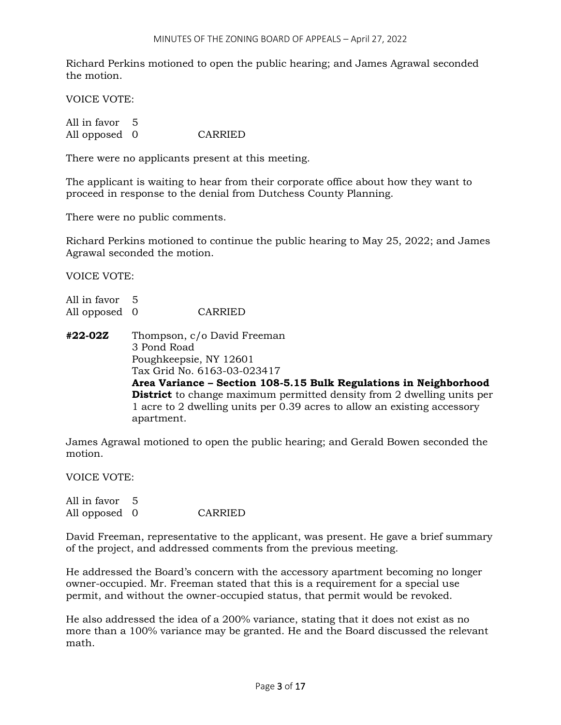Richard Perkins motioned to open the public hearing; and James Agrawal seconded the motion.

VOICE VOTE:

All in favor 5 All opposed 0 CARRIED

There were no applicants present at this meeting.

The applicant is waiting to hear from their corporate office about how they want to proceed in response to the denial from Dutchess County Planning.

There were no public comments.

Richard Perkins motioned to continue the public hearing to May 25, 2022; and James Agrawal seconded the motion.

VOICE VOTE:

All in favor 5 All opposed 0 CARRIED

**#22-02Z** Thompson, c/o David Freeman 3 Pond Road Poughkeepsie, NY 12601 Tax Grid No. 6163-03-023417 **Area Variance – Section 108-5.15 Bulk Regulations in Neighborhood District** to change maximum permitted density from 2 dwelling units per 1 acre to 2 dwelling units per 0.39 acres to allow an existing accessory apartment.

James Agrawal motioned to open the public hearing; and Gerald Bowen seconded the motion.

VOICE VOTE:

All in favor 5 All opposed 0 CARRIED

David Freeman, representative to the applicant, was present. He gave a brief summary of the project, and addressed comments from the previous meeting.

He addressed the Board's concern with the accessory apartment becoming no longer owner-occupied. Mr. Freeman stated that this is a requirement for a special use permit, and without the owner-occupied status, that permit would be revoked.

He also addressed the idea of a 200% variance, stating that it does not exist as no more than a 100% variance may be granted. He and the Board discussed the relevant math.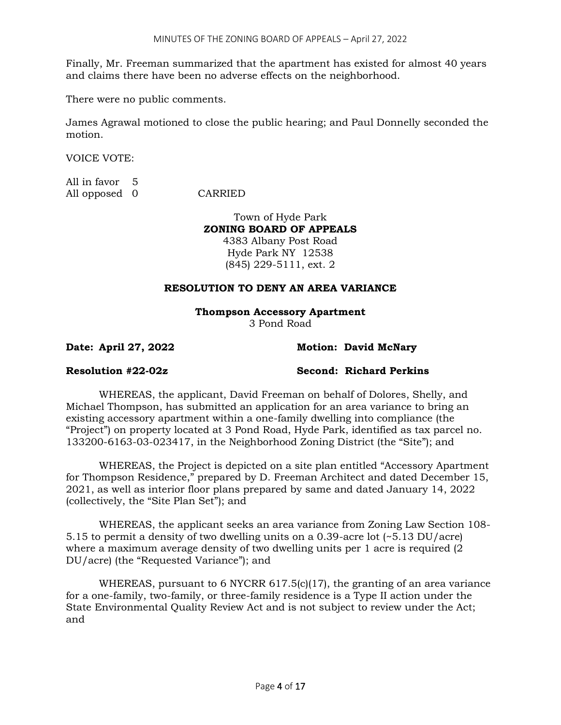Finally, Mr. Freeman summarized that the apartment has existed for almost 40 years and claims there have been no adverse effects on the neighborhood.

There were no public comments.

James Agrawal motioned to close the public hearing; and Paul Donnelly seconded the motion.

VOICE VOTE:

All in favor 5 All opposed 0 CARRIED

Town of Hyde Park **ZONING BOARD OF APPEALS** 4383 Albany Post Road Hyde Park NY 12538 (845) 229-5111, ext. 2

# **RESOLUTION TO DENY AN AREA VARIANCE**

# **Thompson Accessory Apartment**

3 Pond Road

**Date: April 27, 2022 Motion: David McNary**

**Resolution #22-02z Second: Richard Perkins**

WHEREAS, the applicant, David Freeman on behalf of Dolores, Shelly, and Michael Thompson, has submitted an application for an area variance to bring an existing accessory apartment within a one-family dwelling into compliance (the "Project") on property located at 3 Pond Road, Hyde Park, identified as tax parcel no. 133200-6163-03-023417, in the Neighborhood Zoning District (the "Site"); and

WHEREAS, the Project is depicted on a site plan entitled "Accessory Apartment for Thompson Residence," prepared by D. Freeman Architect and dated December 15, 2021, as well as interior floor plans prepared by same and dated January 14, 2022 (collectively, the "Site Plan Set"); and

WHEREAS, the applicant seeks an area variance from Zoning Law Section 108- 5.15 to permit a density of two dwelling units on a 0.39-acre lot (~5.13 DU/acre) where a maximum average density of two dwelling units per 1 acre is required (2 DU/acre) (the "Requested Variance"); and

WHEREAS, pursuant to 6 NYCRR 617.5(c)(17), the granting of an area variance for a one-family, two-family, or three-family residence is a Type II action under the State Environmental Quality Review Act and is not subject to review under the Act; and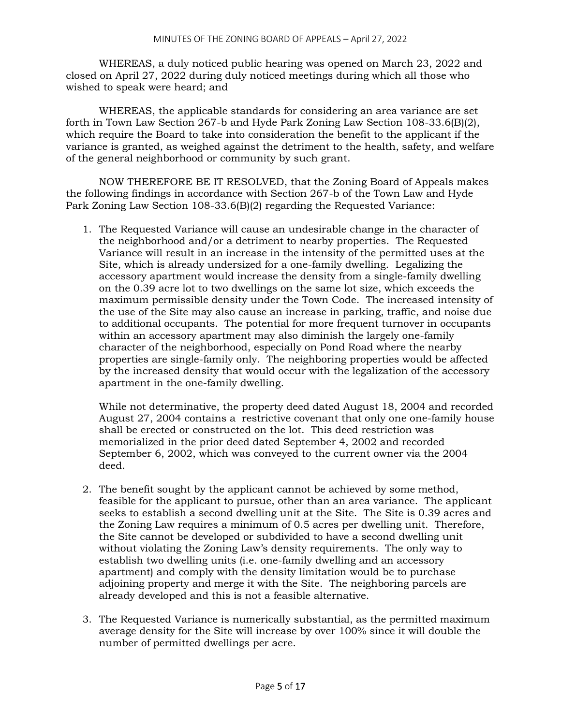WHEREAS, a duly noticed public hearing was opened on March 23, 2022 and closed on April 27, 2022 during duly noticed meetings during which all those who wished to speak were heard; and

WHEREAS, the applicable standards for considering an area variance are set forth in Town Law Section 267-b and Hyde Park Zoning Law Section 108-33.6(B)(2), which require the Board to take into consideration the benefit to the applicant if the variance is granted, as weighed against the detriment to the health, safety, and welfare of the general neighborhood or community by such grant.

NOW THEREFORE BE IT RESOLVED, that the Zoning Board of Appeals makes the following findings in accordance with Section 267-b of the Town Law and Hyde Park Zoning Law Section 108-33.6(B)(2) regarding the Requested Variance:

1. The Requested Variance will cause an undesirable change in the character of the neighborhood and/or a detriment to nearby properties. The Requested Variance will result in an increase in the intensity of the permitted uses at the Site, which is already undersized for a one-family dwelling. Legalizing the accessory apartment would increase the density from a single-family dwelling on the 0.39 acre lot to two dwellings on the same lot size, which exceeds the maximum permissible density under the Town Code. The increased intensity of the use of the Site may also cause an increase in parking, traffic, and noise due to additional occupants. The potential for more frequent turnover in occupants within an accessory apartment may also diminish the largely one-family character of the neighborhood, especially on Pond Road where the nearby properties are single-family only. The neighboring properties would be affected by the increased density that would occur with the legalization of the accessory apartment in the one-family dwelling.

While not determinative, the property deed dated August 18, 2004 and recorded August 27, 2004 contains a restrictive covenant that only one one-family house shall be erected or constructed on the lot. This deed restriction was memorialized in the prior deed dated September 4, 2002 and recorded September 6, 2002, which was conveyed to the current owner via the 2004 deed.

- 2. The benefit sought by the applicant cannot be achieved by some method, feasible for the applicant to pursue, other than an area variance. The applicant seeks to establish a second dwelling unit at the Site. The Site is 0.39 acres and the Zoning Law requires a minimum of 0.5 acres per dwelling unit. Therefore, the Site cannot be developed or subdivided to have a second dwelling unit without violating the Zoning Law's density requirements. The only way to establish two dwelling units (i.e. one-family dwelling and an accessory apartment) and comply with the density limitation would be to purchase adjoining property and merge it with the Site. The neighboring parcels are already developed and this is not a feasible alternative.
- 3. The Requested Variance is numerically substantial, as the permitted maximum average density for the Site will increase by over 100% since it will double the number of permitted dwellings per acre.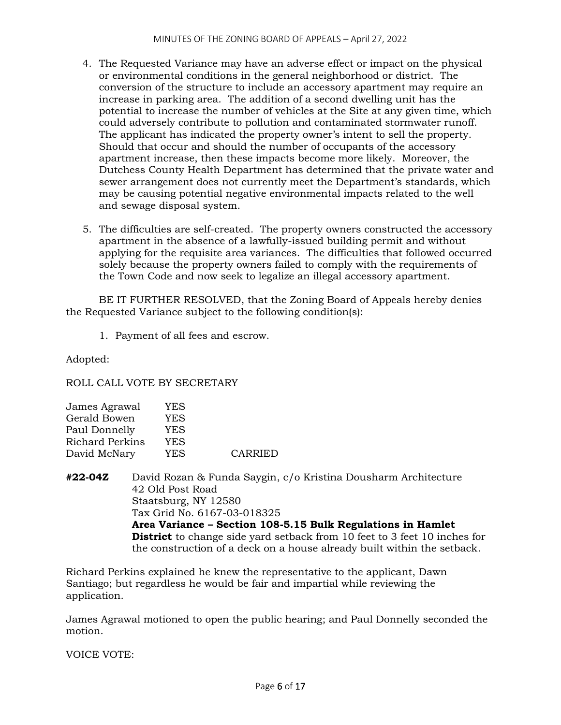- 4. The Requested Variance may have an adverse effect or impact on the physical or environmental conditions in the general neighborhood or district. The conversion of the structure to include an accessory apartment may require an increase in parking area. The addition of a second dwelling unit has the potential to increase the number of vehicles at the Site at any given time, which could adversely contribute to pollution and contaminated stormwater runoff. The applicant has indicated the property owner's intent to sell the property. Should that occur and should the number of occupants of the accessory apartment increase, then these impacts become more likely. Moreover, the Dutchess County Health Department has determined that the private water and sewer arrangement does not currently meet the Department's standards, which may be causing potential negative environmental impacts related to the well and sewage disposal system.
- 5. The difficulties are self-created. The property owners constructed the accessory apartment in the absence of a lawfully-issued building permit and without applying for the requisite area variances. The difficulties that followed occurred solely because the property owners failed to comply with the requirements of the Town Code and now seek to legalize an illegal accessory apartment.

BE IT FURTHER RESOLVED, that the Zoning Board of Appeals hereby denies the Requested Variance subject to the following condition(s):

1. Payment of all fees and escrow.

Adopted:

ROLL CALL VOTE BY SECRETARY

| James Agrawal          | YES |                |
|------------------------|-----|----------------|
| Gerald Bowen           | YES |                |
| Paul Donnelly          | YES |                |
| <b>Richard Perkins</b> | YES |                |
| David McNary           | YES | <b>CARRIED</b> |
|                        |     |                |

**#22-04Z** David Rozan & Funda Saygin, c/o Kristina Dousharm Architecture 42 Old Post Road Staatsburg, NY 12580 Tax Grid No. 6167-03-018325 **Area Variance – Section 108-5.15 Bulk Regulations in Hamlet District** to change side yard setback from 10 feet to 3 feet 10 inches for the construction of a deck on a house already built within the setback.

Richard Perkins explained he knew the representative to the applicant, Dawn Santiago; but regardless he would be fair and impartial while reviewing the application.

James Agrawal motioned to open the public hearing; and Paul Donnelly seconded the motion.

VOICE VOTE: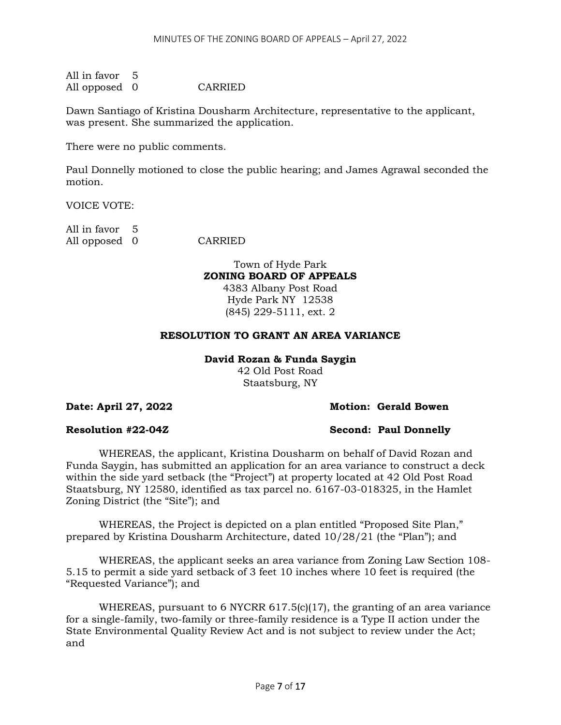All in favor 5 All opposed 0 CARRIED

Dawn Santiago of Kristina Dousharm Architecture, representative to the applicant, was present. She summarized the application.

There were no public comments.

Paul Donnelly motioned to close the public hearing; and James Agrawal seconded the motion.

VOICE VOTE:

All in favor 5 All opposed 0 CARRIED

Town of Hyde Park **ZONING BOARD OF APPEALS**

4383 Albany Post Road Hyde Park NY 12538 (845) 229-5111, ext. 2

# **RESOLUTION TO GRANT AN AREA VARIANCE**

### **David Rozan & Funda Saygin**

42 Old Post Road Staatsburg, NY

# **Date: April 27, 2022 Motion: Gerald Bowen**

**Resolution #22-04Z Second: Paul Donnelly**

WHEREAS, the applicant, Kristina Dousharm on behalf of David Rozan and Funda Saygin, has submitted an application for an area variance to construct a deck within the side yard setback (the "Project") at property located at 42 Old Post Road Staatsburg, NY 12580, identified as tax parcel no. 6167-03-018325, in the Hamlet Zoning District (the "Site"); and

WHEREAS, the Project is depicted on a plan entitled "Proposed Site Plan," prepared by Kristina Dousharm Architecture, dated 10/28/21 (the "Plan"); and

WHEREAS, the applicant seeks an area variance from Zoning Law Section 108- 5.15 to permit a side yard setback of 3 feet 10 inches where 10 feet is required (the "Requested Variance"); and

WHEREAS, pursuant to 6 NYCRR  $617.5(c)(17)$ , the granting of an area variance for a single-family, two-family or three-family residence is a Type II action under the State Environmental Quality Review Act and is not subject to review under the Act; and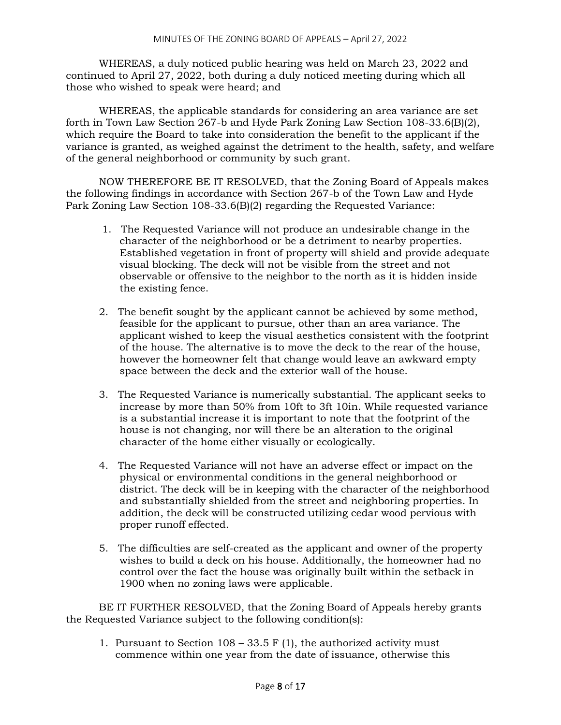WHEREAS, a duly noticed public hearing was held on March 23, 2022 and continued to April 27, 2022, both during a duly noticed meeting during which all those who wished to speak were heard; and

WHEREAS, the applicable standards for considering an area variance are set forth in Town Law Section 267-b and Hyde Park Zoning Law Section 108-33.6(B)(2), which require the Board to take into consideration the benefit to the applicant if the variance is granted, as weighed against the detriment to the health, safety, and welfare of the general neighborhood or community by such grant.

NOW THEREFORE BE IT RESOLVED, that the Zoning Board of Appeals makes the following findings in accordance with Section 267-b of the Town Law and Hyde Park Zoning Law Section 108-33.6(B)(2) regarding the Requested Variance:

- 1. The Requested Variance will not produce an undesirable change in the character of the neighborhood or be a detriment to nearby properties. Established vegetation in front of property will shield and provide adequate visual blocking. The deck will not be visible from the street and not observable or offensive to the neighbor to the north as it is hidden inside the existing fence.
- 2. The benefit sought by the applicant cannot be achieved by some method, feasible for the applicant to pursue, other than an area variance. The applicant wished to keep the visual aesthetics consistent with the footprint of the house. The alternative is to move the deck to the rear of the house, however the homeowner felt that change would leave an awkward empty space between the deck and the exterior wall of the house.
- 3. The Requested Variance is numerically substantial. The applicant seeks to increase by more than 50% from 10ft to 3ft 10in. While requested variance is a substantial increase it is important to note that the footprint of the house is not changing, nor will there be an alteration to the original character of the home either visually or ecologically.
- 4. The Requested Variance will not have an adverse effect or impact on the physical or environmental conditions in the general neighborhood or district. The deck will be in keeping with the character of the neighborhood and substantially shielded from the street and neighboring properties. In addition, the deck will be constructed utilizing cedar wood pervious with proper runoff effected.
- 5. The difficulties are self-created as the applicant and owner of the property wishes to build a deck on his house. Additionally, the homeowner had no control over the fact the house was originally built within the setback in 1900 when no zoning laws were applicable.

BE IT FURTHER RESOLVED, that the Zoning Board of Appeals hereby grants the Requested Variance subject to the following condition(s):

1. Pursuant to Section  $108 - 33.5$  F (1), the authorized activity must commence within one year from the date of issuance, otherwise this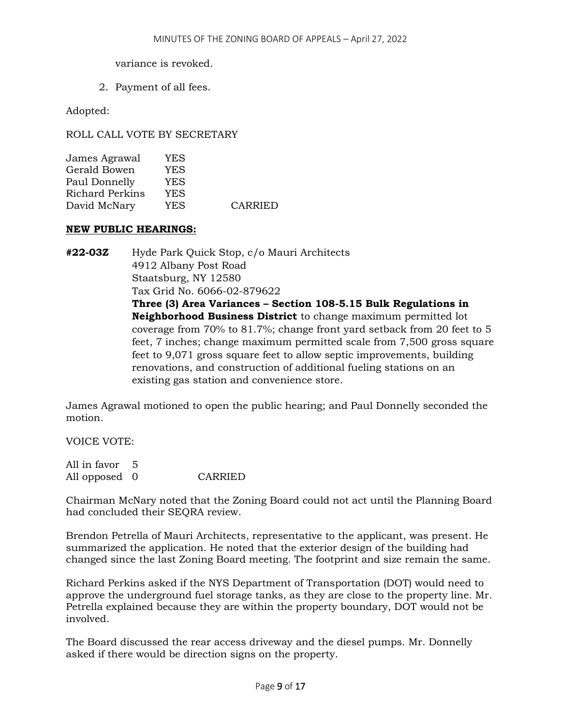variance is revoked.

2. Payment of all fees.

Adopted:

ROLL CALL VOTE BY SECRETARY

| YES |                |
|-----|----------------|
| YES |                |
| YES |                |
| YES |                |
| YES | <b>CARRIED</b> |
|     |                |

# **NEW PUBLIC HEARINGS:**

**#22-03Z** Hyde Park Quick Stop, c/o Mauri Architects 4912 Albany Post Road Staatsburg, NY 12580 Tax Grid No. 6066-02-879622 **Three (3) Area Variances – Section 108-5.15 Bulk Regulations in Neighborhood Business District** to change maximum permitted lot coverage from 70% to 81.7%; change front yard setback from 20 feet to 5 feet, 7 inches; change maximum permitted scale from 7,500 gross square feet to 9,071 gross square feet to allow septic improvements, building renovations, and construction of additional fueling stations on an existing gas station and convenience store.

James Agrawal motioned to open the public hearing; and Paul Donnelly seconded the motion.

VOICE VOTE:

| All in favor 5 |         |
|----------------|---------|
| All opposed 0  | CARRIED |

Chairman McNary noted that the Zoning Board could not act until the Planning Board had concluded their SEQRA review.

Brendon Petrella of Mauri Architects, representative to the applicant, was present. He summarized the application. He noted that the exterior design of the building had changed since the last Zoning Board meeting. The footprint and size remain the same.

Richard Perkins asked if the NYS Department of Transportation (DOT) would need to approve the underground fuel storage tanks, as they are close to the property line. Mr. Petrella explained because they are within the property boundary, DOT would not be involved.

The Board discussed the rear access driveway and the diesel pumps. Mr. Donnelly asked if there would be direction signs on the property.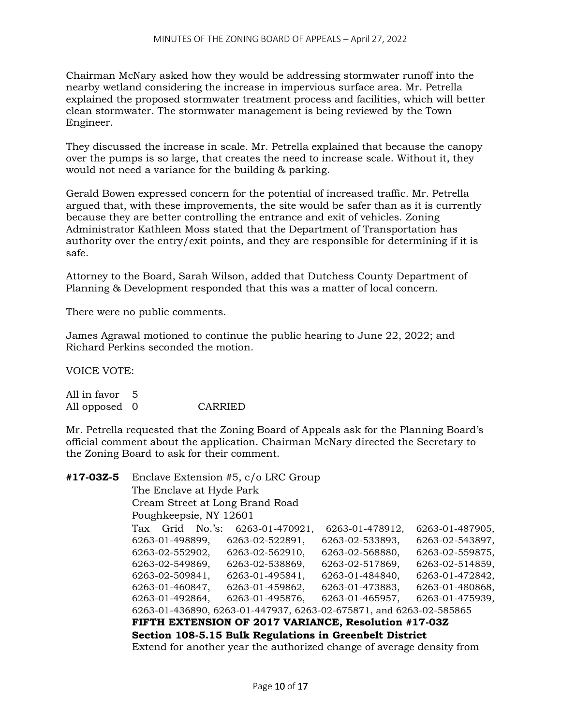Chairman McNary asked how they would be addressing stormwater runoff into the nearby wetland considering the increase in impervious surface area. Mr. Petrella explained the proposed stormwater treatment process and facilities, which will better clean stormwater. The stormwater management is being reviewed by the Town Engineer.

They discussed the increase in scale. Mr. Petrella explained that because the canopy over the pumps is so large, that creates the need to increase scale. Without it, they would not need a variance for the building & parking.

Gerald Bowen expressed concern for the potential of increased traffic. Mr. Petrella argued that, with these improvements, the site would be safer than as it is currently because they are better controlling the entrance and exit of vehicles. Zoning Administrator Kathleen Moss stated that the Department of Transportation has authority over the entry/exit points, and they are responsible for determining if it is safe.

Attorney to the Board, Sarah Wilson, added that Dutchess County Department of Planning & Development responded that this was a matter of local concern.

There were no public comments.

James Agrawal motioned to continue the public hearing to June 22, 2022; and Richard Perkins seconded the motion.

VOICE VOTE:

All in favor 5 All opposed 0 CARRIED

Mr. Petrella requested that the Zoning Board of Appeals ask for the Planning Board's official comment about the application. Chairman McNary directed the Secretary to the Zoning Board to ask for their comment.

| #17-03Z-5 | Enclave Extension #5, c/o LRC Group                     |                        |             |  |                                                                       |  |                 |                 |  |
|-----------|---------------------------------------------------------|------------------------|-------------|--|-----------------------------------------------------------------------|--|-----------------|-----------------|--|
|           | The Enclave at Hyde Park                                |                        |             |  |                                                                       |  |                 |                 |  |
|           |                                                         |                        |             |  | Cream Street at Long Brand Road                                       |  |                 |                 |  |
|           |                                                         | Poughkeepsie, NY 12601 |             |  |                                                                       |  |                 |                 |  |
|           | Tax                                                     |                        | Grid No.'s: |  | 6263-01-470921,                                                       |  | 6263-01-478912, | 6263-01-487905, |  |
|           |                                                         | 6263-01-498899,        |             |  | 6263-02-522891,                                                       |  | 6263-02-533893, | 6263-02-543897, |  |
|           |                                                         | 6263-02-552902,        |             |  | 6263-02-562910,                                                       |  | 6263-02-568880, | 6263-02-559875, |  |
|           |                                                         | 6263-02-549869,        |             |  | 6263-02-538869,                                                       |  | 6263-02-517869, | 6263-02-514859, |  |
|           |                                                         | 6263-02-509841,        |             |  | 6263-01-495841,                                                       |  | 6263-01-484840, | 6263-01-472842, |  |
|           |                                                         | 6263-01-460847,        |             |  | 6263-01-459862,                                                       |  | 6263-01-473883, | 6263-01-480868, |  |
|           |                                                         | 6263-01-492864,        |             |  | 6263-01-495876,                                                       |  | 6263-01-465957, | 6263-01-475939, |  |
|           |                                                         |                        |             |  | 6263-01-436890, 6263-01-447937, 6263-02-675871, and 6263-02-585865    |  |                 |                 |  |
|           | FIFTH EXTENSION OF 2017 VARIANCE, Resolution #17-03Z    |                        |             |  |                                                                       |  |                 |                 |  |
|           | Section 108-5.15 Bulk Regulations in Greenbelt District |                        |             |  |                                                                       |  |                 |                 |  |
|           |                                                         |                        |             |  | Extend for another year the authorized change of average density from |  |                 |                 |  |
|           |                                                         |                        |             |  |                                                                       |  |                 |                 |  |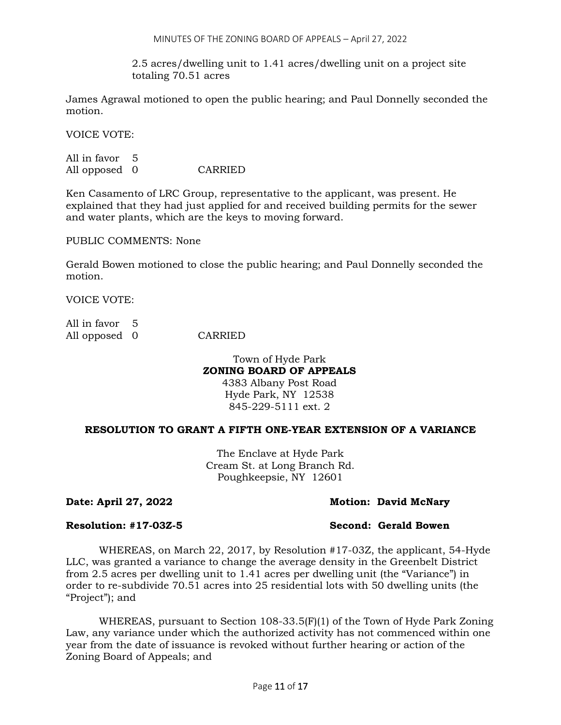2.5 acres/dwelling unit to 1.41 acres/dwelling unit on a project site totaling 70.51 acres

James Agrawal motioned to open the public hearing; and Paul Donnelly seconded the motion.

VOICE VOTE:

All in favor 5 All opposed 0 CARRIED

Ken Casamento of LRC Group, representative to the applicant, was present. He explained that they had just applied for and received building permits for the sewer and water plants, which are the keys to moving forward.

PUBLIC COMMENTS: None

Gerald Bowen motioned to close the public hearing; and Paul Donnelly seconded the motion.

VOICE VOTE:

| All in favor 5 |         |
|----------------|---------|
| All opposed 0  | CARRIED |

# Town of Hyde Park **ZONING BOARD OF APPEALS** 4383 Albany Post Road

Hyde Park, NY 12538 845-229-5111 ext. 2

# **RESOLUTION TO GRANT A FIFTH ONE-YEAR EXTENSION OF A VARIANCE**

The Enclave at Hyde Park Cream St. at Long Branch Rd. Poughkeepsie, NY 12601

# **Date: April 27, 2022 Motion: David McNary**

# **Resolution: #17-03Z-5 Second: Gerald Bowen**

WHEREAS, on March 22, 2017, by Resolution #17-03Z, the applicant, 54-Hyde LLC, was granted a variance to change the average density in the Greenbelt District from 2.5 acres per dwelling unit to 1.41 acres per dwelling unit (the "Variance") in order to re-subdivide 70.51 acres into 25 residential lots with 50 dwelling units (the "Project"); and

WHEREAS, pursuant to Section  $108-33.5(F)(1)$  of the Town of Hyde Park Zoning Law, any variance under which the authorized activity has not commenced within one year from the date of issuance is revoked without further hearing or action of the Zoning Board of Appeals; and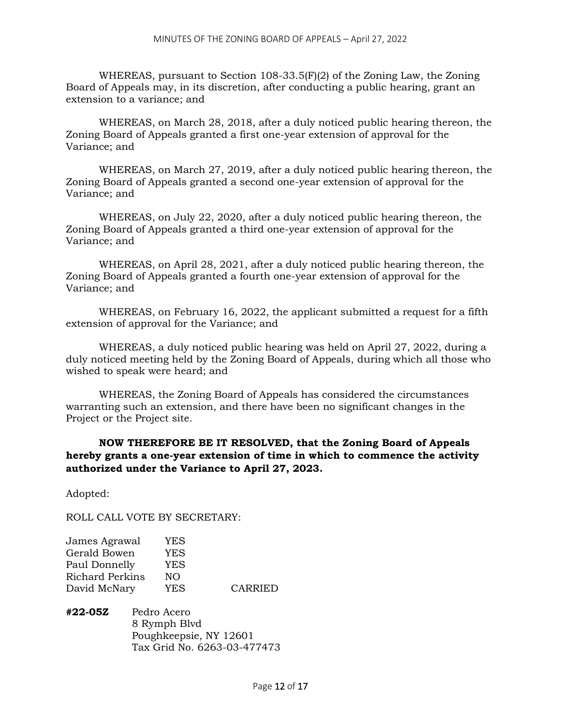WHEREAS, pursuant to Section 108-33.5(F)(2) of the Zoning Law, the Zoning Board of Appeals may, in its discretion, after conducting a public hearing, grant an extension to a variance; and

WHEREAS, on March 28, 2018, after a duly noticed public hearing thereon, the Zoning Board of Appeals granted a first one-year extension of approval for the Variance; and

WHEREAS, on March 27, 2019, after a duly noticed public hearing thereon, the Zoning Board of Appeals granted a second one-year extension of approval for the Variance; and

WHEREAS, on July 22, 2020, after a duly noticed public hearing thereon, the Zoning Board of Appeals granted a third one-year extension of approval for the Variance; and

WHEREAS, on April 28, 2021, after a duly noticed public hearing thereon, the Zoning Board of Appeals granted a fourth one-year extension of approval for the Variance; and

WHEREAS, on February 16, 2022, the applicant submitted a request for a fifth extension of approval for the Variance; and

WHEREAS, a duly noticed public hearing was held on April 27, 2022, during a duly noticed meeting held by the Zoning Board of Appeals, during which all those who wished to speak were heard; and

WHEREAS, the Zoning Board of Appeals has considered the circumstances warranting such an extension, and there have been no significant changes in the Project or the Project site.

# **NOW THEREFORE BE IT RESOLVED, that the Zoning Board of Appeals hereby grants a one-year extension of time in which to commence the activity authorized under the Variance to April 27, 2023.**

Adopted:

ROLL CALL VOTE BY SECRETARY:

| James Agrawal          | YES |                |
|------------------------|-----|----------------|
| Gerald Bowen           | YES |                |
| Paul Donnelly          | YES |                |
| <b>Richard Perkins</b> | NO. |                |
| David McNary           | YES | <b>CARRIED</b> |
|                        |     |                |

**#22-05Z** Pedro Acero 8 Rymph Blvd Poughkeepsie, NY 12601 Tax Grid No. 6263-03-477473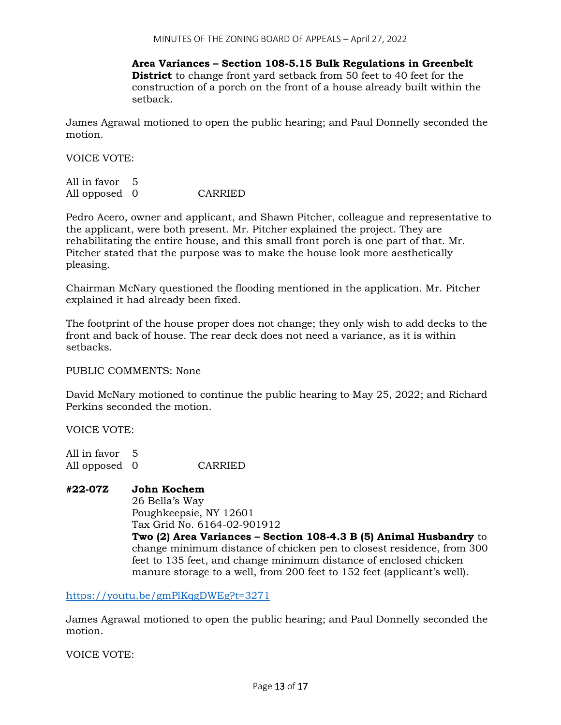**Area Variances – Section 108-5.15 Bulk Regulations in Greenbelt District** to change front yard setback from 50 feet to 40 feet for the construction of a porch on the front of a house already built within the setback.

James Agrawal motioned to open the public hearing; and Paul Donnelly seconded the motion.

VOICE VOTE:

| All in favor 5 |         |
|----------------|---------|
| All opposed 0  | CARRIED |

Pedro Acero, owner and applicant, and Shawn Pitcher, colleague and representative to the applicant, were both present. Mr. Pitcher explained the project. They are rehabilitating the entire house, and this small front porch is one part of that. Mr. Pitcher stated that the purpose was to make the house look more aesthetically pleasing.

Chairman McNary questioned the flooding mentioned in the application. Mr. Pitcher explained it had already been fixed.

The footprint of the house proper does not change; they only wish to add decks to the front and back of house. The rear deck does not need a variance, as it is within setbacks.

PUBLIC COMMENTS: None

David McNary motioned to continue the public hearing to May 25, 2022; and Richard Perkins seconded the motion.

VOICE VOTE:

All in favor 5 All opposed 0 CARRIED

# **#22-07Z John Kochem**

26 Bella's Way Poughkeepsie, NY 12601 Tax Grid No. 6164-02-901912

**Two (2) Area Variances – Section 108-4.3 B (5) Animal Husbandry** to change minimum distance of chicken pen to closest residence, from 300 feet to 135 feet, and change minimum distance of enclosed chicken manure storage to a well, from 200 feet to 152 feet (applicant's well).

<https://youtu.be/gmPlKqgDWEg?t=3271>

James Agrawal motioned to open the public hearing; and Paul Donnelly seconded the motion.

VOICE VOTE: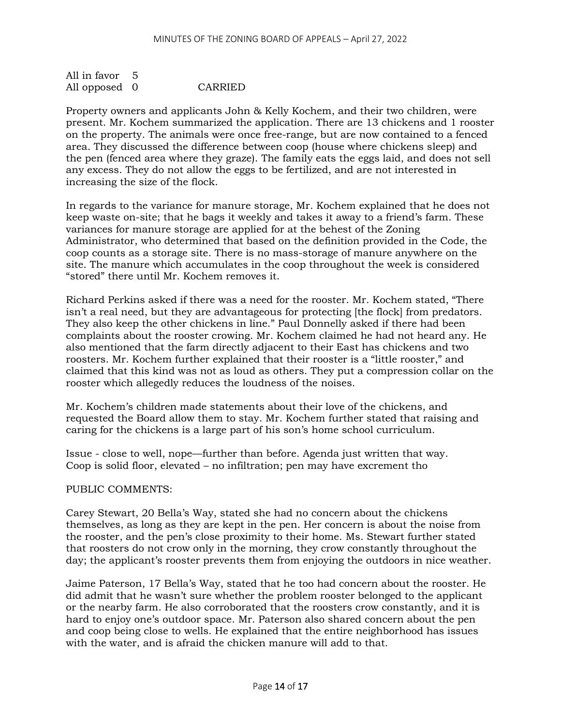All in favor 5 All opposed 0 CARRIED

Property owners and applicants John & Kelly Kochem, and their two children, were present. Mr. Kochem summarized the application. There are 13 chickens and 1 rooster on the property. The animals were once free-range, but are now contained to a fenced area. They discussed the difference between coop (house where chickens sleep) and the pen (fenced area where they graze). The family eats the eggs laid, and does not sell any excess. They do not allow the eggs to be fertilized, and are not interested in increasing the size of the flock.

In regards to the variance for manure storage, Mr. Kochem explained that he does not keep waste on-site; that he bags it weekly and takes it away to a friend's farm. These variances for manure storage are applied for at the behest of the Zoning Administrator, who determined that based on the definition provided in the Code, the coop counts as a storage site. There is no mass-storage of manure anywhere on the site. The manure which accumulates in the coop throughout the week is considered "stored" there until Mr. Kochem removes it.

Richard Perkins asked if there was a need for the rooster. Mr. Kochem stated, "There isn't a real need, but they are advantageous for protecting [the flock] from predators. They also keep the other chickens in line." Paul Donnelly asked if there had been complaints about the rooster crowing. Mr. Kochem claimed he had not heard any. He also mentioned that the farm directly adjacent to their East has chickens and two roosters. Mr. Kochem further explained that their rooster is a "little rooster," and claimed that this kind was not as loud as others. They put a compression collar on the rooster which allegedly reduces the loudness of the noises.

Mr. Kochem's children made statements about their love of the chickens, and requested the Board allow them to stay. Mr. Kochem further stated that raising and caring for the chickens is a large part of his son's home school curriculum.

Issue - close to well, nope—further than before. Agenda just written that way. Coop is solid floor, elevated – no infiltration; pen may have excrement tho

# PUBLIC COMMENTS:

Carey Stewart, 20 Bella's Way, stated she had no concern about the chickens themselves, as long as they are kept in the pen. Her concern is about the noise from the rooster, and the pen's close proximity to their home. Ms. Stewart further stated that roosters do not crow only in the morning, they crow constantly throughout the day; the applicant's rooster prevents them from enjoying the outdoors in nice weather.

Jaime Paterson, 17 Bella's Way, stated that he too had concern about the rooster. He did admit that he wasn't sure whether the problem rooster belonged to the applicant or the nearby farm. He also corroborated that the roosters crow constantly, and it is hard to enjoy one's outdoor space. Mr. Paterson also shared concern about the pen and coop being close to wells. He explained that the entire neighborhood has issues with the water, and is afraid the chicken manure will add to that.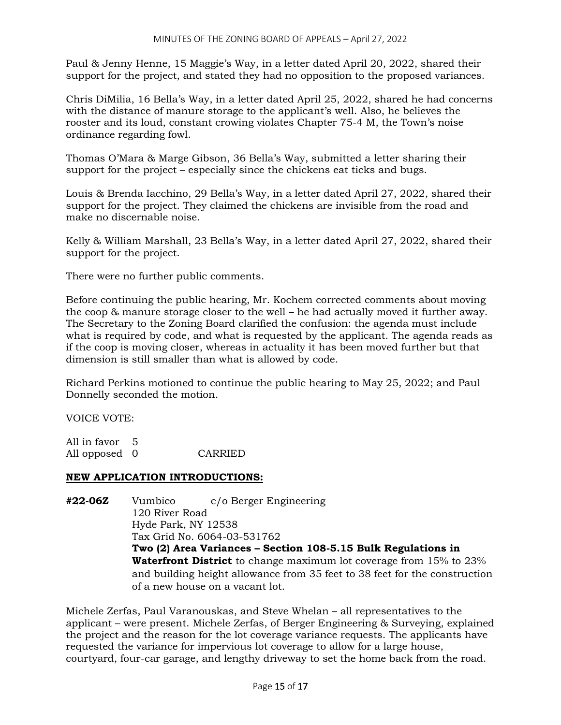Paul & Jenny Henne, 15 Maggie's Way, in a letter dated April 20, 2022, shared their support for the project, and stated they had no opposition to the proposed variances.

Chris DiMilia, 16 Bella's Way, in a letter dated April 25, 2022, shared he had concerns with the distance of manure storage to the applicant's well. Also, he believes the rooster and its loud, constant crowing violates Chapter 75-4 M, the Town's noise ordinance regarding fowl.

Thomas O'Mara & Marge Gibson, 36 Bella's Way, submitted a letter sharing their support for the project – especially since the chickens eat ticks and bugs.

Louis & Brenda Iacchino, 29 Bella's Way, in a letter dated April 27, 2022, shared their support for the project. They claimed the chickens are invisible from the road and make no discernable noise.

Kelly & William Marshall, 23 Bella's Way, in a letter dated April 27, 2022, shared their support for the project.

There were no further public comments.

Before continuing the public hearing, Mr. Kochem corrected comments about moving the coop & manure storage closer to the well – he had actually moved it further away. The Secretary to the Zoning Board clarified the confusion: the agenda must include what is required by code, and what is requested by the applicant. The agenda reads as if the coop is moving closer, whereas in actuality it has been moved further but that dimension is still smaller than what is allowed by code.

Richard Perkins motioned to continue the public hearing to May 25, 2022; and Paul Donnelly seconded the motion.

VOICE VOTE:

All in favor 5 All opposed 0 CARRIED

# **NEW APPLICATION INTRODUCTIONS:**

**#22-06Z** Vumbico c/o Berger Engineering 120 River Road Hyde Park, NY 12538 Tax Grid No. 6064-03-531762 **Two (2) Area Variances – Section 108-5.15 Bulk Regulations in Waterfront District** to change maximum lot coverage from 15% to 23% and building height allowance from 35 feet to 38 feet for the construction of a new house on a vacant lot.

Michele Zerfas, Paul Varanouskas, and Steve Whelan – all representatives to the applicant – were present. Michele Zerfas, of Berger Engineering & Surveying, explained the project and the reason for the lot coverage variance requests. The applicants have requested the variance for impervious lot coverage to allow for a large house, courtyard, four-car garage, and lengthy driveway to set the home back from the road.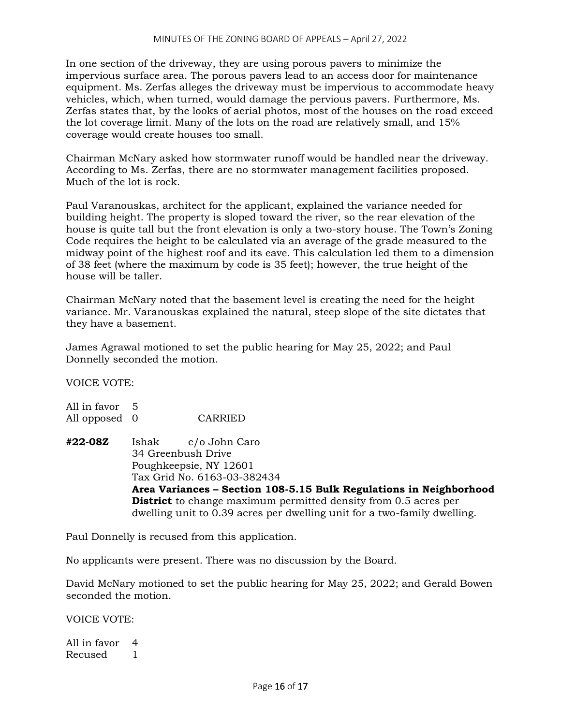In one section of the driveway, they are using porous pavers to minimize the impervious surface area. The porous pavers lead to an access door for maintenance equipment. Ms. Zerfas alleges the driveway must be impervious to accommodate heavy vehicles, which, when turned, would damage the pervious pavers. Furthermore, Ms. Zerfas states that, by the looks of aerial photos, most of the houses on the road exceed the lot coverage limit. Many of the lots on the road are relatively small, and 15% coverage would create houses too small.

Chairman McNary asked how stormwater runoff would be handled near the driveway. According to Ms. Zerfas, there are no stormwater management facilities proposed. Much of the lot is rock.

Paul Varanouskas, architect for the applicant, explained the variance needed for building height. The property is sloped toward the river, so the rear elevation of the house is quite tall but the front elevation is only a two-story house. The Town's Zoning Code requires the height to be calculated via an average of the grade measured to the midway point of the highest roof and its eave. This calculation led them to a dimension of 38 feet (where the maximum by code is 35 feet); however, the true height of the house will be taller.

Chairman McNary noted that the basement level is creating the need for the height variance. Mr. Varanouskas explained the natural, steep slope of the site dictates that they have a basement.

James Agrawal motioned to set the public hearing for May 25, 2022; and Paul Donnelly seconded the motion.

VOICE VOTE:

All in favor 5 All opposed 0 CARRIED

**#22-08Z** Ishak c/o John Caro 34 Greenbush Drive Poughkeepsie, NY 12601 Tax Grid No. 6163-03-382434 **Area Variances – Section 108-5.15 Bulk Regulations in Neighborhood District** to change maximum permitted density from 0.5 acres per dwelling unit to 0.39 acres per dwelling unit for a two-family dwelling.

Paul Donnelly is recused from this application.

No applicants were present. There was no discussion by the Board.

David McNary motioned to set the public hearing for May 25, 2022; and Gerald Bowen seconded the motion.

VOICE VOTE:

All in favor 4 Recused 1